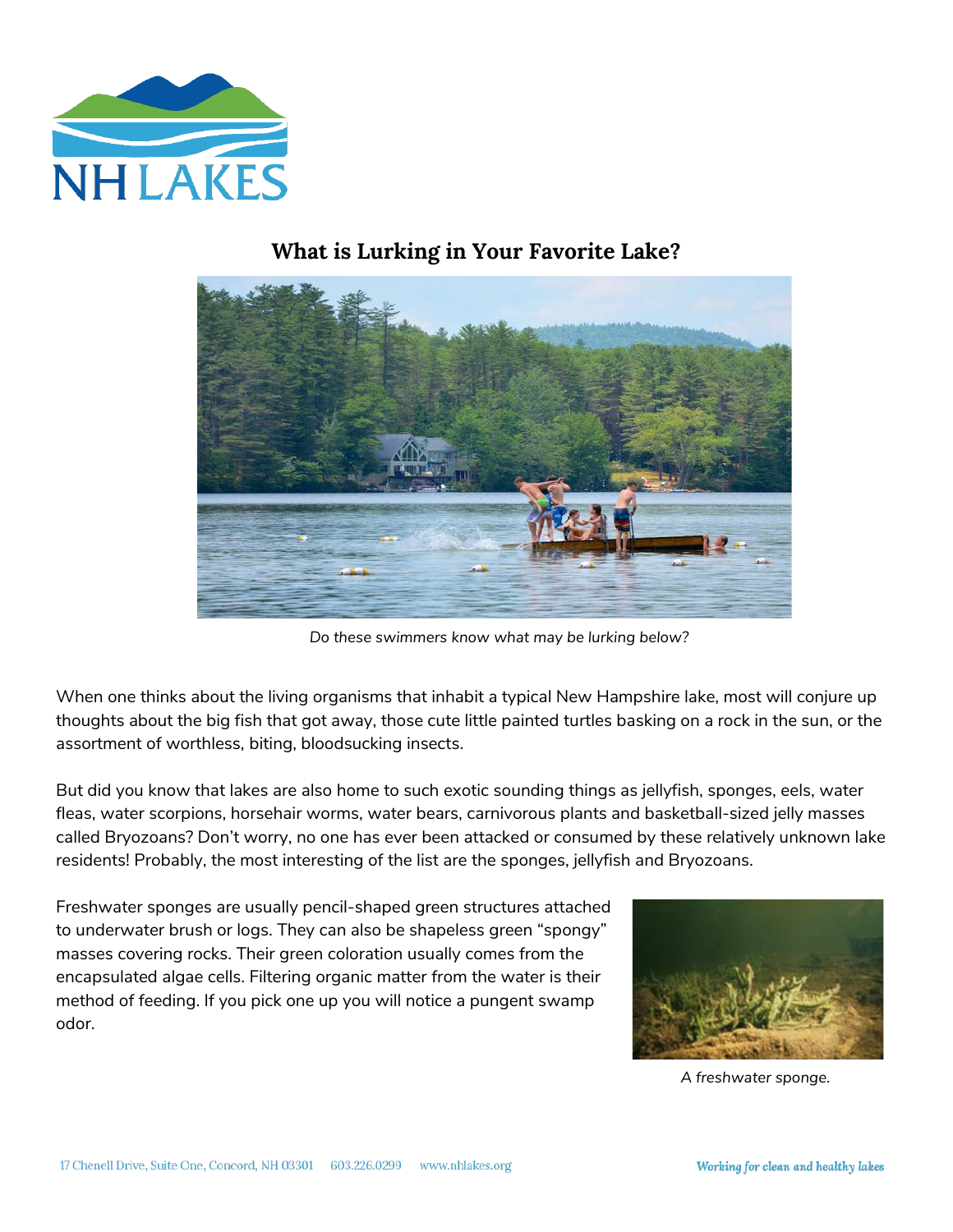

## **What is Lurking in Your Favorite Lake?**



*Do these swimmers know what may be lurking below?*

When one thinks about the living organisms that inhabit a typical New Hampshire lake, most will conjure up thoughts about the big fish that got away, those cute little painted turtles basking on a rock in the sun, or the assortment of worthless, biting, bloodsucking insects.

But did you know that lakes are also home to such exotic sounding things as jellyfish, sponges, eels, water fleas, water scorpions, horsehair worms, water bears, carnivorous plants and basketball-sized jelly masses called Bryozoans? Don't worry, no one has ever been attacked or consumed by these relatively unknown lake residents! Probably, the most interesting of the list are the sponges, jellyfish and Bryozoans.

Freshwater sponges are usually pencil-shaped green structures attached to underwater brush or logs. They can also be shapeless green "spongy" masses covering rocks. Their green coloration usually comes from the encapsulated algae cells. Filtering organic matter from the water is their method of feeding. If you pick one up you will notice a pungent swamp odor.



*A freshwater sponge.*